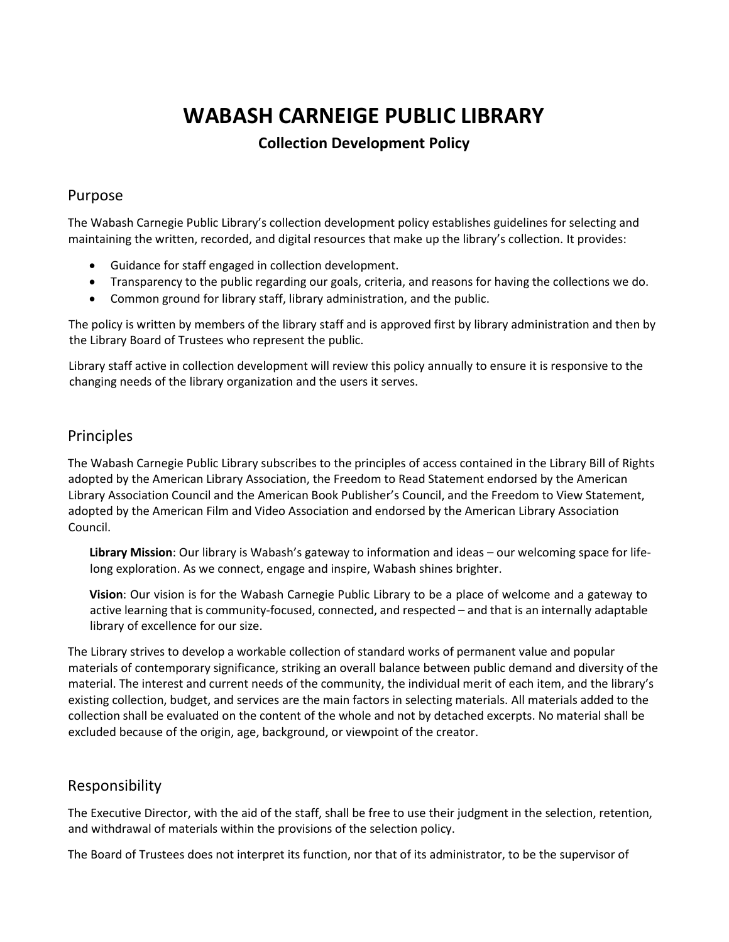# **WABASH CARNEIGE PUBLIC LIBRARY**

# **Collection Development Policy**

#### Purpose

The Wabash Carnegie Public Library's collection development policy establishes guidelines for selecting and maintaining the written, recorded, and digital resources that make up the library's collection. It provides:

- Guidance for staff engaged in collection development.
- Transparency to the public regarding our goals, criteria, and reasons for having the collections we do.
- Common ground for library staff, library administration, and the public.

The policy is written by members of the library staff and is approved first by library administration and then by the Library Board of Trustees who represent the public.

Library staff active in collection development will review this policy annually to ensure it is responsive to the changing needs of the library organization and the users it serves.

#### Principles

The Wabash Carnegie Public Library subscribes to the principles of access contained in the Library Bill of Rights adopted by the American Library Association, the Freedom to Read Statement endorsed by the American Library Association Council and the American Book Publisher's Council, and the Freedom to View Statement, adopted by the American Film and Video Association and endorsed by the American Library Association Council.

**Library Mission**: Our library is Wabash's gateway to information and ideas – our welcoming space for lifelong exploration. As we connect, engage and inspire, Wabash shines brighter.

**Vision**: Our vision is for the Wabash Carnegie Public Library to be a place of welcome and a gateway to active learning that is community-focused, connected, and respected – and that is an internally adaptable library of excellence for our size.

The Library strives to develop a workable collection of standard works of permanent value and popular materials of contemporary significance, striking an overall balance between public demand and diversity of the material. The interest and current needs of the community, the individual merit of each item, and the library's existing collection, budget, and services are the main factors in selecting materials. All materials added to the collection shall be evaluated on the content of the whole and not by detached excerpts. No material shall be excluded because of the origin, age, background, or viewpoint of the creator.

### Responsibility

The Executive Director, with the aid of the staff, shall be free to use their judgment in the selection, retention, and withdrawal of materials within the provisions of the selection policy.

The Board of Trustees does not interpret its function, nor that of its administrator, to be the supervisor of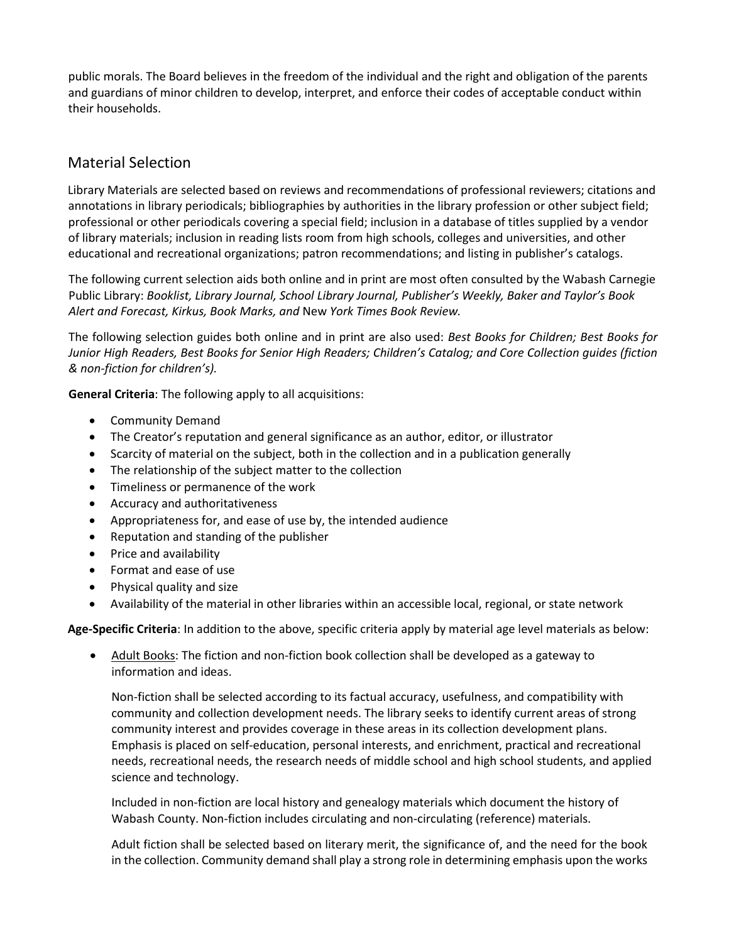public morals. The Board believes in the freedom of the individual and the right and obligation of the parents and guardians of minor children to develop, interpret, and enforce their codes of acceptable conduct within their households.

# Material Selection

Library Materials are selected based on reviews and recommendations of professional reviewers; citations and annotations in library periodicals; bibliographies by authorities in the library profession or other subject field; professional or other periodicals covering a special field; inclusion in a database of titles supplied by a vendor of library materials; inclusion in reading lists room from high schools, colleges and universities, and other educational and recreational organizations; patron recommendations; and listing in publisher's catalogs.

The following current selection aids both online and in print are most often consulted by the Wabash Carnegie Public Library: *Booklist, Library Journal, School Library Journal, Publisher's Weekly, Baker and Taylor's Book Alert and Forecast, Kirkus, Book Marks, and* New *York Times Book Review.*

The following selection guides both online and in print are also used: *Best Books for Children; Best Books for Junior High Readers, Best Books for Senior High Readers; Children's Catalog; and Core Collection guides (fiction & non-fiction for children's).*

**General Criteria**: The following apply to all acquisitions:

- Community Demand
- The Creator's reputation and general significance as an author, editor, or illustrator
- Scarcity of material on the subject, both in the collection and in a publication generally
- The relationship of the subject matter to the collection
- Timeliness or permanence of the work
- Accuracy and authoritativeness
- Appropriateness for, and ease of use by, the intended audience
- Reputation and standing of the publisher
- Price and availability
- Format and ease of use
- Physical quality and size
- Availability of the material in other libraries within an accessible local, regional, or state network

**Age-Specific Criteria**: In addition to the above, specific criteria apply by material age level materials as below:

• Adult Books: The fiction and non-fiction book collection shall be developed as a gateway to information and ideas.

Non-fiction shall be selected according to its factual accuracy, usefulness, and compatibility with community and collection development needs. The library seeks to identify current areas of strong community interest and provides coverage in these areas in its collection development plans. Emphasis is placed on self-education, personal interests, and enrichment, practical and recreational needs, recreational needs, the research needs of middle school and high school students, and applied science and technology.

Included in non-fiction are local history and genealogy materials which document the history of Wabash County. Non-fiction includes circulating and non-circulating (reference) materials.

Adult fiction shall be selected based on literary merit, the significance of, and the need for the book in the collection. Community demand shall play a strong role in determining emphasis upon the works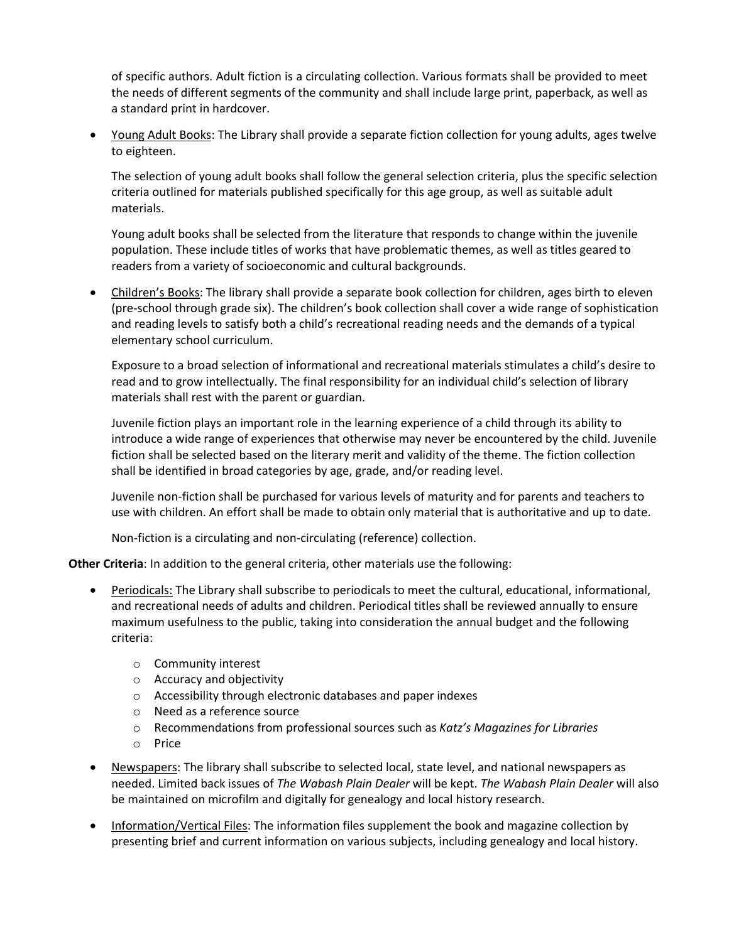of specific authors. Adult fiction is a circulating collection. Various formats shall be provided to meet the needs of different segments of the community and shall include large print, paperback, as well as a standard print in hardcover.

• Young Adult Books: The Library shall provide a separate fiction collection for young adults, ages twelve to eighteen.

The selection of young adult books shall follow the general selection criteria, plus the specific selection criteria outlined for materials published specifically for this age group, as well as suitable adult materials.

Young adult books shall be selected from the literature that responds to change within the juvenile population. These include titles of works that have problematic themes, as well as titles geared to readers from a variety of socioeconomic and cultural backgrounds.

• Children's Books: The library shall provide a separate book collection for children, ages birth to eleven (pre-school through grade six). The children's book collection shall cover a wide range of sophistication and reading levels to satisfy both a child's recreational reading needs and the demands of a typical elementary school curriculum.

Exposure to a broad selection of informational and recreational materials stimulates a child's desire to read and to grow intellectually. The final responsibility for an individual child's selection of library materials shall rest with the parent or guardian.

Juvenile fiction plays an important role in the learning experience of a child through its ability to introduce a wide range of experiences that otherwise may never be encountered by the child. Juvenile fiction shall be selected based on the literary merit and validity of the theme. The fiction collection shall be identified in broad categories by age, grade, and/or reading level.

Juvenile non-fiction shall be purchased for various levels of maturity and for parents and teachers to use with children. An effort shall be made to obtain only material that is authoritative and up to date.

Non-fiction is a circulating and non-circulating (reference) collection.

**Other Criteria**: In addition to the general criteria, other materials use the following:

- Periodicals: The Library shall subscribe to periodicals to meet the cultural, educational, informational, and recreational needs of adults and children. Periodical titles shall be reviewed annually to ensure maximum usefulness to the public, taking into consideration the annual budget and the following criteria:
	- o Community interest
	- o Accuracy and objectivity
	- o Accessibility through electronic databases and paper indexes
	- o Need as a reference source
	- o Recommendations from professional sources such as *Katz's Magazines for Libraries*
	- o Price
- Newspapers: The library shall subscribe to selected local, state level, and national newspapers as needed. Limited back issues of *The Wabash Plain Dealer* will be kept. *The Wabash Plain Dealer* will also be maintained on microfilm and digitally for genealogy and local history research.
- Information/Vertical Files: The information files supplement the book and magazine collection by presenting brief and current information on various subjects, including genealogy and local history.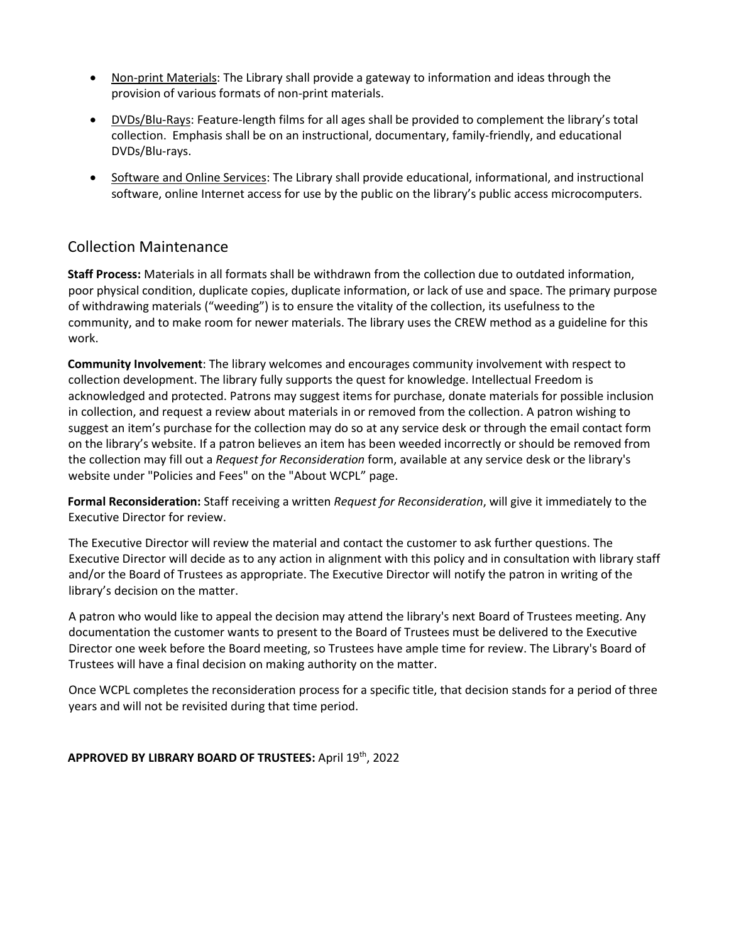- Non-print Materials: The Library shall provide a gateway to information and ideas through the provision of various formats of non-print materials.
- DVDs/Blu-Rays: Feature-length films for all ages shall be provided to complement the library's total collection. Emphasis shall be on an instructional, documentary, family-friendly, and educational DVDs/Blu-rays.
- Software and Online Services: The Library shall provide educational, informational, and instructional software, online Internet access for use by the public on the library's public access microcomputers.

## Collection Maintenance

**Staff Process:** Materials in all formats shall be withdrawn from the collection due to outdated information, poor physical condition, duplicate copies, duplicate information, or lack of use and space. The primary purpose of withdrawing materials ("weeding") is to ensure the vitality of the collection, its usefulness to the community, and to make room for newer materials. The library uses the CREW method as a guideline for this work.

**Community Involvement**: The library welcomes and encourages community involvement with respect to collection development. The library fully supports the quest for knowledge. Intellectual Freedom is acknowledged and protected. Patrons may suggest items for purchase, donate materials for possible inclusion in collection, and request a review about materials in or removed from the collection. A patron wishing to suggest an item's purchase for the collection may do so at any service desk or through the email contact form on the library's website. If a patron believes an item has been weeded incorrectly or should be removed from the collection may fill out a *Request for Reconsideration* form, available at any service desk or the library's website under "Policies and Fees" on the "About WCPL" page.

**Formal Reconsideration:** Staff receiving a written *Request for Reconsideration*, will give it immediately to the Executive Director for review.

The Executive Director will review the material and contact the customer to ask further questions. The Executive Director will decide as to any action in alignment with this policy and in consultation with library staff and/or the Board of Trustees as appropriate. The Executive Director will notify the patron in writing of the library's decision on the matter.

A patron who would like to appeal the decision may attend the library's next Board of Trustees meeting. Any documentation the customer wants to present to the Board of Trustees must be delivered to the Executive Director one week before the Board meeting, so Trustees have ample time for review. The Library's Board of Trustees will have a final decision on making authority on the matter.

Once WCPL completes the reconsideration process for a specific title, that decision stands for a period of three years and will not be revisited during that time period.

#### **APPROVED BY LIBRARY BOARD OF TRUSTEES:** April 19th, 2022